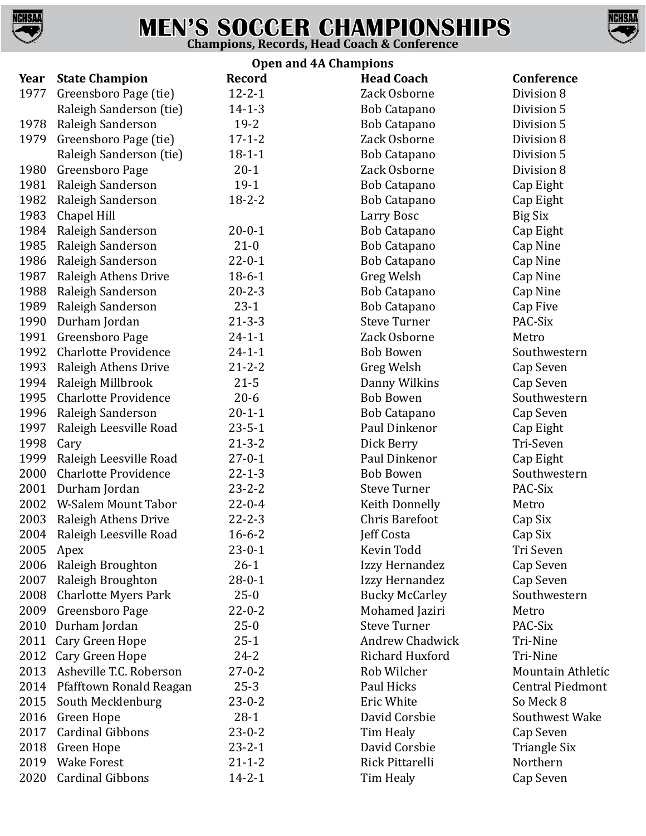

## **MEN'S SOCCER CHAMPIONSHIPS Champions, Records, Head Coach & Conference**



| <b>Open and 4A Champions</b> |                             |               |                        |                          |  |  |  |
|------------------------------|-----------------------------|---------------|------------------------|--------------------------|--|--|--|
| Year                         | <b>State Champion</b>       | <b>Record</b> | <b>Head Coach</b>      | <b>Conference</b>        |  |  |  |
| 1977                         | Greensboro Page (tie)       | $12 - 2 - 1$  | Zack Osborne           | Division 8               |  |  |  |
|                              | Raleigh Sanderson (tie)     | $14 - 1 - 3$  | Bob Catapano           | Division 5               |  |  |  |
| 1978                         | Raleigh Sanderson           | $19 - 2$      | <b>Bob Catapano</b>    | Division 5               |  |  |  |
| 1979                         | Greensboro Page (tie)       | $17 - 1 - 2$  | Zack Osborne           | Division 8               |  |  |  |
|                              | Raleigh Sanderson (tie)     | $18 - 1 - 1$  | <b>Bob Catapano</b>    | Division 5               |  |  |  |
| 1980                         | Greensboro Page             | $20-1$        | Zack Osborne           | Division 8               |  |  |  |
| 1981                         | Raleigh Sanderson           | $19-1$        | <b>Bob Catapano</b>    | Cap Eight                |  |  |  |
| 1982                         | Raleigh Sanderson           | $18 - 2 - 2$  | <b>Bob Catapano</b>    | Cap Eight                |  |  |  |
| 1983                         | Chapel Hill                 |               | Larry Bosc             | <b>Big Six</b>           |  |  |  |
| 1984                         | Raleigh Sanderson           | $20 - 0 - 1$  | <b>Bob Catapano</b>    | Cap Eight                |  |  |  |
| 1985                         | Raleigh Sanderson           | $21 - 0$      | Bob Catapano           | Cap Nine                 |  |  |  |
| 1986                         | Raleigh Sanderson           | $22 - 0 - 1$  | <b>Bob Catapano</b>    | Cap Nine                 |  |  |  |
| 1987                         | Raleigh Athens Drive        | $18 - 6 - 1$  | Greg Welsh             | Cap Nine                 |  |  |  |
| 1988                         | Raleigh Sanderson           | $20 - 2 - 3$  | Bob Catapano           | Cap Nine                 |  |  |  |
| 1989                         | Raleigh Sanderson           | $23-1$        | <b>Bob Catapano</b>    | Cap Five                 |  |  |  |
| 1990                         | Durham Jordan               | $21 - 3 - 3$  | <b>Steve Turner</b>    | PAC-Six                  |  |  |  |
| 1991                         | Greensboro Page             | $24 - 1 - 1$  | Zack Osborne           | Metro                    |  |  |  |
| 1992                         | <b>Charlotte Providence</b> | $24 - 1 - 1$  | <b>Bob Bowen</b>       | Southwestern             |  |  |  |
| 1993                         | Raleigh Athens Drive        | $21 - 2 - 2$  | Greg Welsh             | Cap Seven                |  |  |  |
| 1994                         | Raleigh Millbrook           | $21 - 5$      | Danny Wilkins          | Cap Seven                |  |  |  |
| 1995                         | <b>Charlotte Providence</b> | $20 - 6$      | <b>Bob Bowen</b>       | Southwestern             |  |  |  |
| 1996                         | Raleigh Sanderson           | $20 - 1 - 1$  | <b>Bob Catapano</b>    | Cap Seven                |  |  |  |
| 1997                         | Raleigh Leesville Road      | $23 - 5 - 1$  | Paul Dinkenor          | Cap Eight                |  |  |  |
| 1998                         | Cary                        | $21 - 3 - 2$  | Dick Berry             | Tri-Seven                |  |  |  |
| 1999                         | Raleigh Leesville Road      | $27 - 0 - 1$  | Paul Dinkenor          | Cap Eight                |  |  |  |
| 2000                         | <b>Charlotte Providence</b> | $22 - 1 - 3$  | <b>Bob Bowen</b>       | Southwestern             |  |  |  |
| 2001                         | Durham Jordan               | $23 - 2 - 2$  | <b>Steve Turner</b>    | PAC-Six                  |  |  |  |
| 2002                         | W-Salem Mount Tabor         | $22 - 0 - 4$  | Keith Donnelly         | Metro                    |  |  |  |
| 2003                         | Raleigh Athens Drive        | $22 - 2 - 3$  | <b>Chris Barefoot</b>  | Cap Six                  |  |  |  |
|                              | 2004 Raleigh Leesville Road | $16 - 6 - 2$  | Jeff Costa             | Cap Six                  |  |  |  |
| 2005                         | Apex                        | $23 - 0 - 1$  | Kevin Todd             | Tri Seven                |  |  |  |
| 2006                         | Raleigh Broughton           | $26-1$        | Izzy Hernandez         | Cap Seven                |  |  |  |
| 2007                         | Raleigh Broughton           | $28 - 0 - 1$  | Izzy Hernandez         | Cap Seven                |  |  |  |
| 2008                         | <b>Charlotte Myers Park</b> | $25-0$        | <b>Bucky McCarley</b>  | Southwestern             |  |  |  |
| 2009                         | Greensboro Page             | $22 - 0 - 2$  | Mohamed Jaziri         | Metro                    |  |  |  |
| 2010                         | Durham Jordan               | $25-0$        | <b>Steve Turner</b>    | PAC-Six                  |  |  |  |
| 2011                         | Cary Green Hope             | $25-1$        | <b>Andrew Chadwick</b> | Tri-Nine                 |  |  |  |
| 2012                         | Cary Green Hope             | $24 - 2$      | Richard Huxford        | Tri-Nine                 |  |  |  |
| 2013                         | Asheville T.C. Roberson     | $27 - 0 - 2$  | Rob Wilcher            | <b>Mountain Athletic</b> |  |  |  |
| 2014                         | Pfafftown Ronald Reagan     | $25 - 3$      | Paul Hicks             | <b>Central Piedmont</b>  |  |  |  |
| 2015                         | South Mecklenburg           | $23 - 0 - 2$  | Eric White             | So Meck 8                |  |  |  |
| 2016                         | Green Hope                  | $28-1$        | David Corsbie          | Southwest Wake           |  |  |  |
| 2017                         | <b>Cardinal Gibbons</b>     | $23 - 0 - 2$  | Tim Healy              | Cap Seven                |  |  |  |
| 2018                         | Green Hope                  | $23 - 2 - 1$  | David Corsbie          | <b>Triangle Six</b>      |  |  |  |
| 2019                         | <b>Wake Forest</b>          | $21 - 1 - 2$  | Rick Pittarelli        | Northern                 |  |  |  |
| 2020                         | <b>Cardinal Gibbons</b>     | $14 - 2 - 1$  | Tim Healy              | Cap Seven                |  |  |  |
|                              |                             |               |                        |                          |  |  |  |

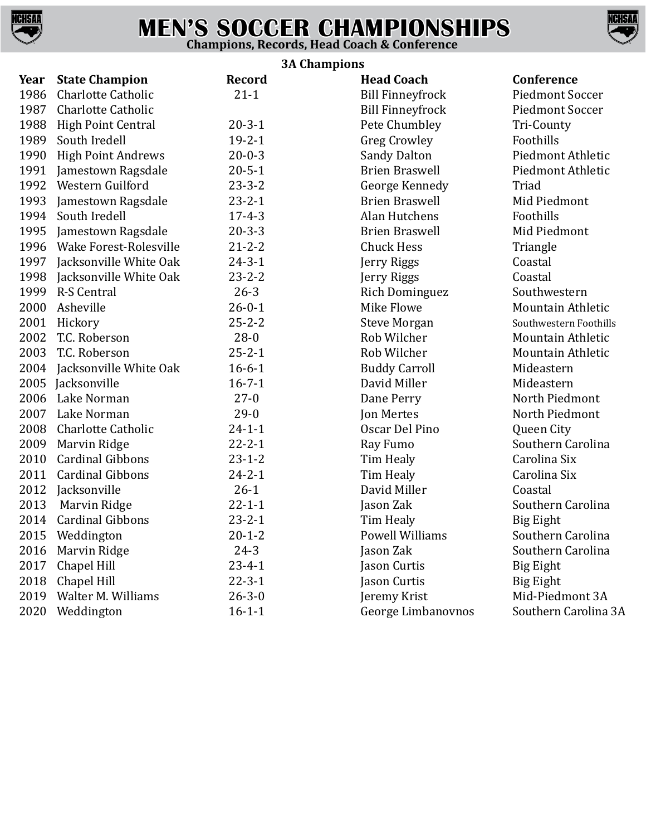

## **MEN'S SOCCER CHAMPIONSHIPS Champions, Records, Head Coach & Conference**



## **3A Champions**

| Year | <b>State Champion</b>     | Record       | эм спашрюнэ<br><b>Head Coach</b> | Conference               |
|------|---------------------------|--------------|----------------------------------|--------------------------|
| 1986 | <b>Charlotte Catholic</b> | $21 - 1$     | <b>Bill Finneyfrock</b>          | <b>Piedmont Soccer</b>   |
| 1987 | <b>Charlotte Catholic</b> |              | <b>Bill Finneyfrock</b>          | <b>Piedmont Soccer</b>   |
| 1988 | <b>High Point Central</b> | $20 - 3 - 1$ | Pete Chumbley                    | Tri-County               |
| 1989 | South Iredell             | $19 - 2 - 1$ | <b>Greg Crowley</b>              | Foothills                |
| 1990 | <b>High Point Andrews</b> | $20 - 0 - 3$ | <b>Sandy Dalton</b>              | Piedmont Athletic        |
| 1991 | Jamestown Ragsdale        | $20 - 5 - 1$ | <b>Brien Braswell</b>            | Piedmont Athletic        |
| 1992 | Western Guilford          | $23 - 3 - 2$ | George Kennedy                   | Triad                    |
| 1993 | Jamestown Ragsdale        | $23 - 2 - 1$ | <b>Brien Braswell</b>            | Mid Piedmont             |
| 1994 | South Iredell             | $17 - 4 - 3$ | Alan Hutchens                    | Foothills                |
| 1995 | Jamestown Ragsdale        | $20 - 3 - 3$ | <b>Brien Braswell</b>            | Mid Piedmont             |
| 1996 | Wake Forest-Rolesville    | $21 - 2 - 2$ | <b>Chuck Hess</b>                | Triangle                 |
| 1997 | Jacksonville White Oak    | $24 - 3 - 1$ | Jerry Riggs                      | Coastal                  |
| 1998 | Jacksonville White Oak    | $23 - 2 - 2$ | Jerry Riggs                      | Coastal                  |
| 1999 | R-S Central               | $26 - 3$     | <b>Rich Dominguez</b>            | Southwestern             |
| 2000 | Asheville                 | $26 - 0 - 1$ | Mike Flowe                       | <b>Mountain Athletic</b> |
| 2001 | Hickory                   | $25 - 2 - 2$ | <b>Steve Morgan</b>              | Southwestern Foothills   |
| 2002 | T.C. Roberson             | $28-0$       | Rob Wilcher                      | <b>Mountain Athletic</b> |
| 2003 | T.C. Roberson             | $25 - 2 - 1$ | Rob Wilcher                      | Mountain Athletic        |
| 2004 | Jacksonville White Oak    | $16 - 6 - 1$ | <b>Buddy Carroll</b>             | Mideastern               |
| 2005 | Jacksonville              | $16 - 7 - 1$ | David Miller                     | Mideastern               |
| 2006 | Lake Norman               | $27-0$       | Dane Perry                       | North Piedmont           |
| 2007 | Lake Norman               | $29-0$       | Jon Mertes                       | North Piedmont           |
| 2008 | <b>Charlotte Catholic</b> | $24 - 1 - 1$ | Oscar Del Pino                   | Queen City               |
| 2009 | Marvin Ridge              | $22 - 2 - 1$ | Ray Fumo                         | Southern Carolina        |
| 2010 | <b>Cardinal Gibbons</b>   | $23 - 1 - 2$ | Tim Healy                        | Carolina Six             |
| 2011 | <b>Cardinal Gibbons</b>   | $24 - 2 - 1$ | Tim Healy                        | Carolina Six             |
| 2012 | Jacksonville              | $26-1$       | David Miller                     | Coastal                  |
| 2013 | Marvin Ridge              | $22 - 1 - 1$ | Jason Zak                        | Southern Carolina        |
| 2014 | <b>Cardinal Gibbons</b>   | $23 - 2 - 1$ | Tim Healy                        | Big Eight                |
|      | 2015 Weddington           | $20 - 1 - 2$ | <b>Powell Williams</b>           | Southern Carolina        |
|      | 2016 Marvin Ridge         | $24 - 3$     | Jason Zak                        | Southern Carolina        |
| 2017 | Chapel Hill               | $23 - 4 - 1$ | Jason Curtis                     | Big Eight                |
| 2018 | Chapel Hill               | $22 - 3 - 1$ | Jason Curtis                     | Big Eight                |
| 2019 | Walter M. Williams        | $26 - 3 - 0$ | Jeremy Krist                     | Mid-Piedmont 3A          |
| 2020 | Weddington                | $16 - 1 - 1$ | George Limbanovnos               | Southern Carolina 3A     |